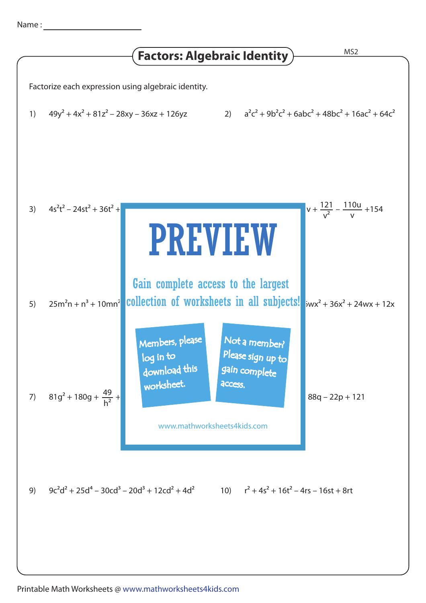